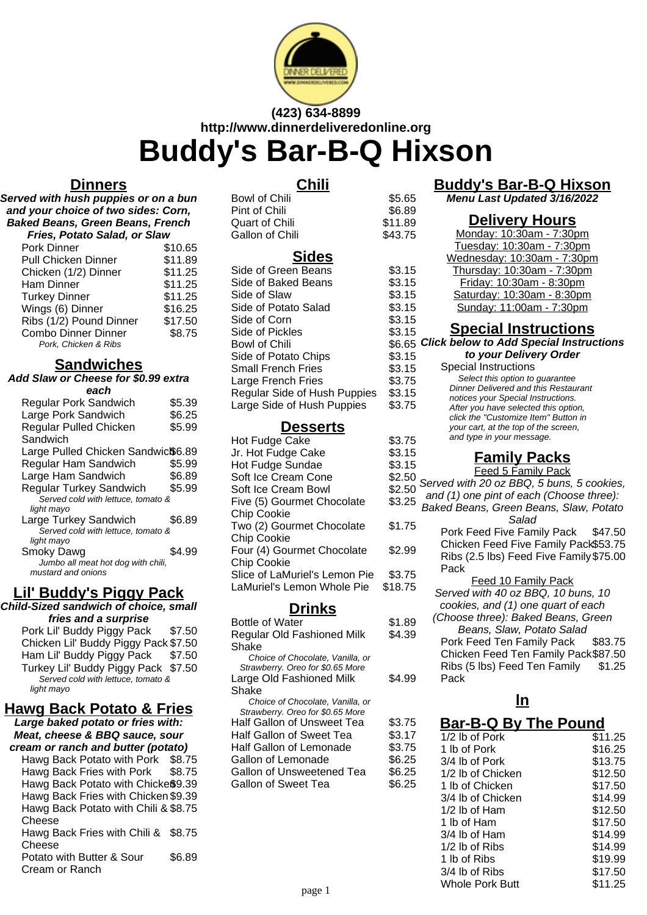

# **(423) 634-8899 http://www.dinnerdeliveredonline.org Buddy's Bar-B-Q Hixson**

## **Dinners**

**Served with hush puppies or on a bun and your choice of two sides: Corn, Baked Beans, Green Beans, French Fries, Potato Salad, or Slaw**

| Pork Dinner                | \$10.65 |
|----------------------------|---------|
| <b>Pull Chicken Dinner</b> | \$11.89 |
| Chicken (1/2) Dinner       | \$11.25 |
| <b>Ham Dinner</b>          | \$11.25 |
| <b>Turkey Dinner</b>       | \$11.25 |
| Wings (6) Dinner           | \$16.25 |
| Ribs (1/2) Pound Dinner    | \$17.50 |
| <b>Combo Dinner Dinner</b> | \$8.75  |
| Pork, Chicken & Ribs       |         |

### **Sandwiches**

**Add Slaw or Cheese for \$0.99 extra each**

| еаы                                |        |
|------------------------------------|--------|
| <b>Regular Pork Sandwich</b>       | \$5.39 |
| Large Pork Sandwich                | \$6.25 |
| Regular Pulled Chicken             | \$5.99 |
| Sandwich                           |        |
| Large Pulled Chicken Sandwic\$6.89 |        |
| Regular Ham Sandwich               | \$5.99 |
| Large Ham Sandwich                 | \$6.89 |
| <b>Regular Turkey Sandwich</b>     | \$5.99 |
| Served cold with lettuce, tomato & |        |
| light mayo                         |        |
| Large Turkey Sandwich              | \$6.89 |
| Served cold with lettuce, tomato & |        |
| light mayo                         |        |
| Smoky Dawg                         | \$4.99 |
| Jumbo all meat hot dog with chili, |        |
| mustard and onions                 |        |
|                                    |        |

## **Lil' Buddy's Piggy Pack**

**Child-Sized sandwich of choice, small fries and a surprise** Pork Lil' Buddy Piggy Pack \$7.50 Chicken Lil' Buddy Piggy Pack \$7.50 Ham Lil' Buddy Piggy Pack \$7.50 Turkey Lil' Buddy Piggy Pack \$7.50 Served cold with lettuce, tomato & light mayo

# **Hawg Back Potato & Fries**

**Large baked potato or fries with: Meat, cheese & BBQ sauce, sour cream or ranch and butter (potato)**

Hawg Back Potato with Pork \$8.75 Hawg Back Fries with Pork \$8.75 Hawg Back Potato with Chickeß9.39 Hawg Back Fries with Chicken \$9.39 Hawg Back Potato with Chili & \$8.75 Cheese Hawg Back Fries with Chili & \$8.75 Cheese Potato with Butter & Sour Cream or Ranch \$6.89

## **Chili**

| Bowl of Chili                | \$5.65  |
|------------------------------|---------|
| Pint of Chili                | \$6.89  |
| Quart of Chili               | \$11.89 |
| <b>Gallon of Chili</b>       | \$43.75 |
| <b>Sides</b>                 |         |
| Side of Green Beans          | \$3.15  |
| Side of Baked Beans          | \$3.15  |
| Side of Slaw                 | \$3.15  |
| Side of Potato Salad         | \$3.15  |
| Side of Corn                 | \$3.15  |
| Side of Pickles              | \$3.15  |
| <b>Bowl of Chili</b>         | \$6.65  |
| Side of Potato Chips         | \$3.15  |
| <b>Small French Fries</b>    | \$3.15  |
| Large French Fries           | \$3.75  |
| Regular Side of Hush Puppies | \$3.15  |
| Large Side of Hush Puppies   | \$3.75  |
|                              |         |

### **Desserts**

| Hot Fudge Cake                | \$3.75  |
|-------------------------------|---------|
| Jr. Hot Fudge Cake            | \$3.15  |
| Hot Fudge Sundae              | \$3.15  |
| Soft Ice Cream Cone           | \$2.50  |
| Soft Ice Cream Bowl           | \$2.50  |
| Five (5) Gourmet Chocolate    | \$3.25  |
| <b>Chip Cookie</b>            |         |
| Two (2) Gourmet Chocolate     | \$1.75  |
| <b>Chip Cookie</b>            |         |
| Four (4) Gourmet Chocolate    | \$2.99  |
| Chip Cookie                   |         |
| Slice of LaMuriel's Lemon Pie | \$3.75  |
| LaMuriel's Lemon Whole Pie    | \$18.75 |
|                               |         |

#### **Drinks**

| \$1.89 |
|--------|
|        |
| \$4.39 |
|        |
|        |
|        |
| \$4.99 |
|        |
|        |
|        |
| \$3.75 |
| \$3.17 |
| \$3.75 |
| \$6.25 |
| \$6.25 |
| \$6.25 |
|        |

## **Buddy's Bar-B-Q Hixson**

**Menu Last Updated 3/16/2022**

### **Delivery Hours**

| .75   | Monday: 10:30am - 7:30pm                                                     |
|-------|------------------------------------------------------------------------------|
|       | Tuesday: 10:30am - 7:30pm                                                    |
|       | <u> Wednesday: 10:30am - 7:30pm</u>                                          |
| 15. ا | Thursday: 10:30am - 7:30pm                                                   |
| 15. ا | <u>Friday: 10:30am - 8:30pm</u>                                              |
| 15. ا | Saturday: 10:30am - 8:30pm                                                   |
| 15. ا | Sunday: 11:00am - 7:30pm                                                     |
| 15. ا |                                                                              |
| .15   | <b>Special Instructions</b>                                                  |
| i.65  | <b>Click below to Add Special Instructions</b>                               |
|       |                                                                              |
| 15. ا | to your Delivery Order                                                       |
| .15   | Special Instructions                                                         |
| 75.7  | Select this option to quarantee                                              |
| 15. ا | <b>Dinner Delivered and this Restaurant</b>                                  |
| .75   | notices your Special Instructions.                                           |
|       | After you have selected this option,<br>click the "Customize Item" Button in |

your cart, at the top of the screen, and type in your message.

## **Family Packs**

- **Feed 5 Family Pack**
- Served with 20 oz BBQ, 5 buns, 5 cookies,
- 25 and (1) one pint of each (Choose three):
- \$1.75 Baked Beans, Green Beans, Slaw, Potato Salad
	- Pork Feed Five Family Pack \$47.50 Chicken Feed Five Family Pack\$53.75 Ribs (2.5 lbs) Feed Five Family \$75.00 Pack
	- Feed 10 Family Pack Served with 40 oz BBQ, 10 buns, 10 cookies, and (1) one quart of each
	- (Choose three): Baked Beans, Green Beans, Slaw, Potato Salad Pork Feed Ten Family Pack \$83.75 Chicken Feed Ten Family Pack\$87.50

Ribs (5 lbs) Feed Ten Family Pack \$1.25

## **ln**

## **Bar-B-Q By The Pound**

| Sweet Tea<br>Lemonade<br>onade<br>veetened Tea<br>et Tea | \$3.1/<br>\$3.75<br>\$6.25<br>\$6.25<br>\$6.25 | 1/2 lb of Pork<br>1 lb of Pork<br>3/4 lb of Pork<br>1/2 lb of Chicken<br>1 lb of Chicken<br>3/4 lb of Chicken<br>$1/2$ lb of Ham<br>1 lb of Ham<br>3/4 lb of Ham<br>$1/2$ lb of Ribs<br>1 lb of Ribs<br>3/4 lb of Ribs<br>Whole Pork Butt | \$11.25<br>\$16.25<br>\$13.75<br>\$12.50<br>\$17.50<br>\$14.99<br>\$12.50<br>\$17.50<br>\$14.99<br>\$14.99<br>\$19.99<br>\$17.50<br>\$11.25 |
|----------------------------------------------------------|------------------------------------------------|-------------------------------------------------------------------------------------------------------------------------------------------------------------------------------------------------------------------------------------------|---------------------------------------------------------------------------------------------------------------------------------------------|
| page 1                                                   |                                                |                                                                                                                                                                                                                                           |                                                                                                                                             |